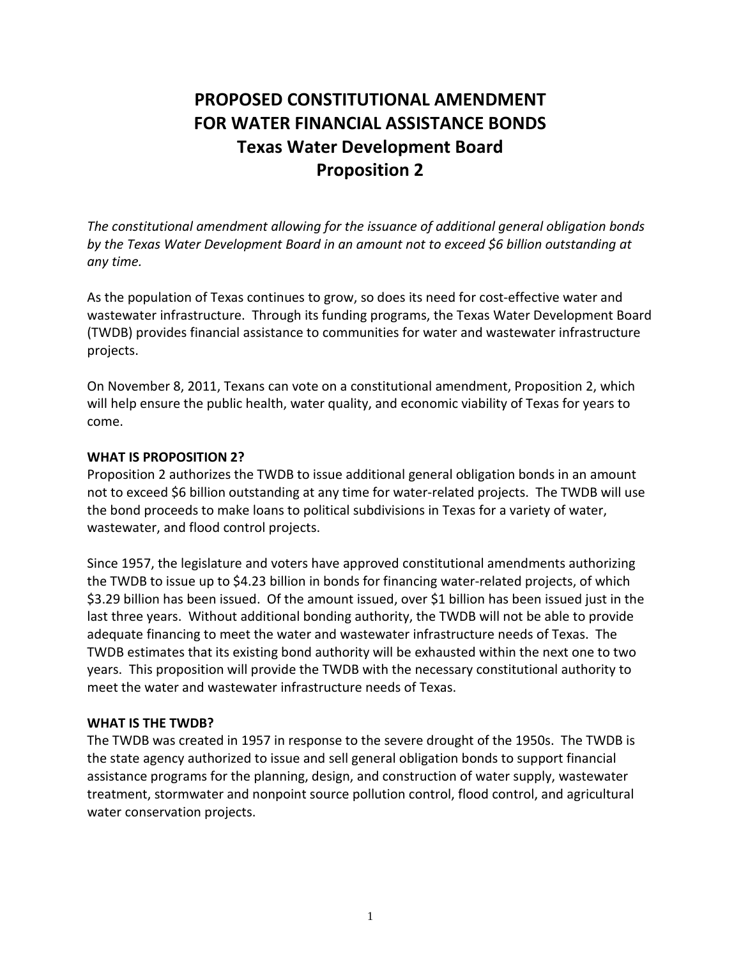# **PROPOSED CONSTITUTIONAL AMENDMENT FOR WATER FINANCIAL ASSISTANCE BONDS Texas Water Development Board Proposition 2**

*The constitutional amendment allowing for the issuance of additional general obligation bonds by the Texas Water Development Board in an amount not to exceed \$6 billion outstanding at any time.*

As the population of Texas continues to grow, so does its need for cost-effective water and wastewater infrastructure. Through its funding programs, the Texas Water Development Board (TWDB) provides financial assistance to communities for water and wastewater infrastructure projects.

On November 8, 2011, Texans can vote on a constitutional amendment, Proposition 2, which will help ensure the public health, water quality, and economic viability of Texas for years to come.

#### **WHAT IS PROPOSITION 2?**

Proposition 2 authorizes the TWDB to issue additional general obligation bonds in an amount not to exceed \$6 billion outstanding at any time for water-related projects. The TWDB will use the bond proceeds to make loans to political subdivisions in Texas for a variety of water, wastewater, and flood control projects.

Since 1957, the legislature and voters have approved constitutional amendments authorizing the TWDB to issue up to \$4.23 billion in bonds for financing water-related projects, of which \$3.29 billion has been issued. Of the amount issued, over \$1 billion has been issued just in the last three years. Without additional bonding authority, the TWDB will not be able to provide adequate financing to meet the water and wastewater infrastructure needs of Texas. The TWDB estimates that its existing bond authority will be exhausted within the next one to two years. This proposition will provide the TWDB with the necessary constitutional authority to meet the water and wastewater infrastructure needs of Texas.

#### **WHAT IS THE TWDB?**

The TWDB was created in 1957 in response to the severe drought of the 1950s. The TWDB is the state agency authorized to issue and sell general obligation bonds to support financial assistance programs for the planning, design, and construction of water supply, wastewater treatment, stormwater and nonpoint source pollution control, flood control, and agricultural water conservation projects.